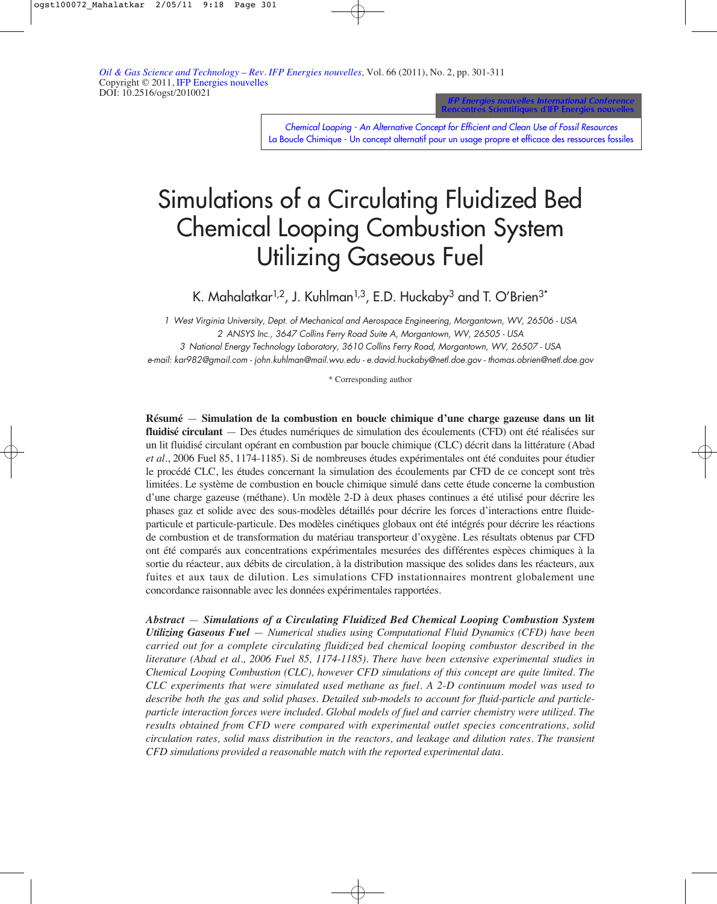IFP Energies nouvelles International Conference [Rencontres Scientifiques d'IFP Energies nouvelles](http://ogst.ifp.fr/articles/ogst/abs/2011/02/contents/contents.html)

[Chemical Looping - An Alternative Concept for Efficient and Clean Use of Fossil Resources](http://ogst.ifp.fr/articles/ogst/abs/2011/02/contents/contents.html) La Boucle Chimique - Un concept alternatif pour un usage propre et efficace des ressources fossiles

# Simulations of a Circulating Fluidized Bed Chemical Looping Combustion System Utilizing Gaseous Fuel

K. Mahalatkar<sup>1,2</sup>, J. Kuhlman<sup>1,3</sup>, E.D. Huckaby<sup>3</sup> and T. O'Brien<sup>3\*</sup>

1 West Virginia University, Dept. of Mechanical and Aerospace Engineering, Morgantown, WV, 26506 - USA 2 ANSYS Inc., 3647 Collins Ferry Road Suite A, Morgantown, WV, 26505 - USA

3 National Energy Technology Laboratory, 3610 Collins Ferry Road, Morgantown, WV, 26507 - USA

e-mail: kar982@gmail.com - john.kuhlman@mail.wvu.edu - e.david.huckaby@netl.doe.gov - thomas.obrien@netl.doe.gov

\* Corresponding author

**Résumé** — **Simulation de la combustion en boucle chimique d'une charge gazeuse dans un lit fluidisé circulant** — Des études numériques de simulation des écoulements (CFD) ont été réalisées sur un lit fluidisé circulant opérant en combustion par boucle chimique (CLC) décrit dans la littérature (Abad *et al*., 2006 Fuel 85, 1174-1185). Si de nombreuses études expérimentales ont été conduites pour étudier le procédé CLC, les études concernant la simulation des écoulements par CFD de ce concept sont très limitées. Le système de combustion en boucle chimique simulé dans cette étude concerne la combustion d'une charge gazeuse (méthane). Un modèle 2-D à deux phases continues a été utilisé pour décrire les phases gaz et solide avec des sous-modèles détaillés pour décrire les forces d'interactions entre fluideparticule et particule-particule. Des modèles cinétiques globaux ont été intégrés pour décrire les réactions de combustion et de transformation du matériau transporteur d'oxygène. Les résultats obtenus par CFD ont été comparés aux concentrations expérimentales mesurées des différentes espèces chimiques à la sortie du réacteur, aux débits de circulation, à la distribution massique des solides dans les réacteurs, aux fuites et aux taux de dilution. Les simulations CFD instationnaires montrent globalement une concordance raisonnable avec les données expérimentales rapportées.

*Abstract* — *Simulations of a Circulating Fluidized Bed Chemical Looping Combustion System Utilizing Gaseous Fuel* — *Numerical studies using Computational Fluid Dynamics (CFD) have been carried out for a complete circulating fluidized bed chemical looping combustor described in the literature (Abad et al., 2006 Fuel 85, 1174-1185). There have been extensive experimental studies in Chemical Looping Combustion (CLC), however CFD simulations of this concept are quite limited. The CLC experiments that were simulated used methane as fuel. A 2-D continuum model was used to describe both the gas and solid phases. Detailed sub-models to account for fluid-particle and particleparticle interaction forces were included. Global models of fuel and carrier chemistry were utilized. The results obtained from CFD were compared with experimental outlet species concentrations, solid circulation rates, solid mass distribution in the reactors, and leakage and dilution rates. The transient CFD simulations provided a reasonable match with the reported experimental data.*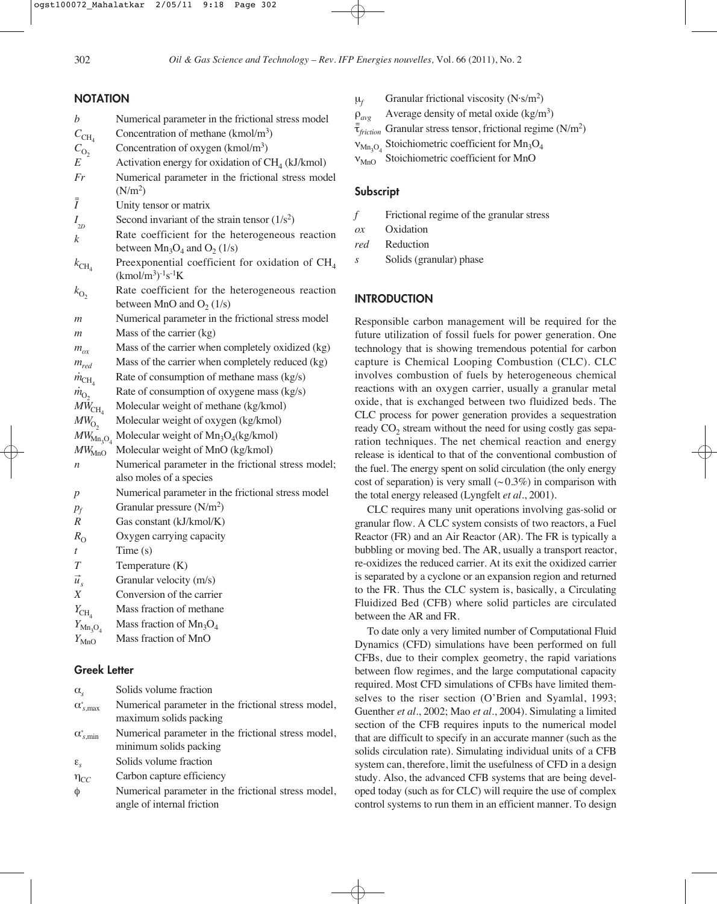# **NOTATION**

| $\boldsymbol{b}$        | Numerical parameter in the frictional stress model                                   |
|-------------------------|--------------------------------------------------------------------------------------|
| $C_{\mathrm{CH}_4}$     | Concentration of methane $(kmol/m3)$                                                 |
| $C_{\mathrm{O}_2}$      | Concentration of oxygen $(kmol/m3)$                                                  |
| E                       | Activation energy for oxidation of $CH4$ (kJ/kmol)                                   |
| Fr                      | Numerical parameter in the frictional stress model                                   |
| $\bar{\bar{I}}$         | (N/m <sup>2</sup> )                                                                  |
|                         | Unity tensor or matrix                                                               |
| $I_{2D}$                | Second invariant of the strain tensor $(1/s^2)$                                      |
| k                       | Rate coefficient for the heterogeneous reaction<br>between $Mn_3O_4$ and $O_2$ (1/s) |
| $k_{\text{CH}_4}$       | Preexponential coefficient for oxidation of $CH4$<br>$(kmol/m3)-1s-1K$               |
| $k_{\text{O}_2}$        | Rate coefficient for the heterogeneous reaction<br>between MnO and $O_2(1/s)$        |
| m                       | Numerical parameter in the frictional stress model                                   |
| $\mathfrak{m}$          | Mass of the carrier (kg)                                                             |
| $m_{ox}$                | Mass of the carrier when completely oxidized (kg)                                    |
| $m_{red}$               | Mass of the carrier when completely reduced (kg)                                     |
| $\dot{m}_{\text{CH}_4}$ | Rate of consumption of methane mass (kg/s)                                           |
| $\dot{m}_{O_2}$         | Rate of consumption of oxygene mass (kg/s)                                           |
| $MW_{\text{CH}_4}$      | Molecular weight of methane (kg/kmol)                                                |
| $MW_{O_2}$              | Molecular weight of oxygen (kg/kmol)                                                 |
| $MW_{Mn_3O_4}$          | Molecular weight of $Mn_3O_4(kg/kmol)$                                               |
| $MW_{\rm MnO}$          | Molecular weight of MnO (kg/kmol)                                                    |
| n                       | Numerical parameter in the frictional stress model;                                  |
|                         | also moles of a species                                                              |
| $\boldsymbol{p}$        | Numerical parameter in the frictional stress model                                   |
| $p_f$                   | Granular pressure $(N/m2)$                                                           |
| $\boldsymbol{R}$        | Gas constant (kJ/kmol/K)                                                             |
| $R_{\odot}$             | Oxygen carrying capacity                                                             |
| $\boldsymbol{t}$        | Time(s)                                                                              |
| $\overline{T}$          | Temperature (K)                                                                      |
| $\vec{u}_s$             | Granular velocity (m/s)                                                              |
| Χ                       | Conversion of the carrier                                                            |
| $Y_{\rm CH_4}$          | Mass fraction of methane                                                             |
| $Y_{\rm Mn_3O_4}$       | Mass fraction of $Mn_3O_4$                                                           |
| $Y_{\text{MnO}}$        | Mass fraction of MnO                                                                 |

## Greek Letter

| $\alpha_{\rm c}$          | Solids volume fraction                                                            |
|---------------------------|-----------------------------------------------------------------------------------|
| $\alpha_{s,\text{max}}^*$ | Numerical parameter in the frictional stress model,<br>maximum solids packing     |
| $\alpha_{s,\text{min}}^*$ | Numerical parameter in the frictional stress model,<br>minimum solids packing     |
| $\epsilon_{\rm c}$        | Solids volume fraction                                                            |
| $\eta_{CC}$               | Carbon capture efficiency                                                         |
| $\phi$                    | Numerical parameter in the frictional stress model,<br>angle of internal friction |

- $\mu_f$  Granular frictional viscosity (N·s/m<sup>2</sup>)
- $\rho_{\text{avg}}$  Average density of metal oxide (kg/m<sup>3</sup>)

 $\bar{\bar{\tau}}$ *Granular stress tensor, frictional regime* (N/m<sup>2</sup>)

 $v_{Mn, O_4}$  Stoichiometric coefficient for  $Mn_3O_4$ 

 $v_{\text{MnO}}$  Stoichiometric coefficient for MnO

# **Subscript**

- *f* Frictional regime of the granular stress
- *ox* Oxidation
- *red* Reduction
- *s* Solids (granular) phase

# **INTRODUCTION**

Responsible carbon management will be required for the future utilization of fossil fuels for power generation. One technology that is showing tremendous potential for carbon capture is Chemical Looping Combustion (CLC). CLC involves combustion of fuels by heterogeneous chemical reactions with an oxygen carrier, usually a granular metal oxide, that is exchanged between two fluidized beds. The CLC process for power generation provides a sequestration ready  $CO<sub>2</sub>$  stream without the need for using costly gas separation techniques. The net chemical reaction and energy release is identical to that of the conventional combustion of the fuel. The energy spent on solid circulation (the only energy cost of separation) is very small  $(-0.3\%)$  in comparison with the total energy released (Lyngfelt *et al.*, 2001).

CLC requires many unit operations involving gas-solid or granular flow. A CLC system consists of two reactors, a Fuel Reactor (FR) and an Air Reactor (AR). The FR is typically a bubbling or moving bed. The AR, usually a transport reactor, re-oxidizes the reduced carrier. At its exit the oxidized carrier is separated by a cyclone or an expansion region and returned to the FR. Thus the CLC system is, basically, a Circulating Fluidized Bed (CFB) where solid particles are circulated between the AR and FR.

To date only a very limited number of Computational Fluid Dynamics (CFD) simulations have been performed on full CFBs, due to their complex geometry, the rapid variations between flow regimes, and the large computational capacity required. Most CFD simulations of CFBs have limited themselves to the riser section (O'Brien and Syamlal, 1993; Guenther *et al.*, 2002; Mao *et al.*, 2004). Simulating a limited section of the CFB requires inputs to the numerical model that are difficult to specify in an accurate manner (such as the solids circulation rate). Simulating individual units of a CFB system can, therefore, limit the usefulness of CFD in a design study. Also, the advanced CFB systems that are being developed today (such as for CLC) will require the use of complex control systems to run them in an efficient manner. To design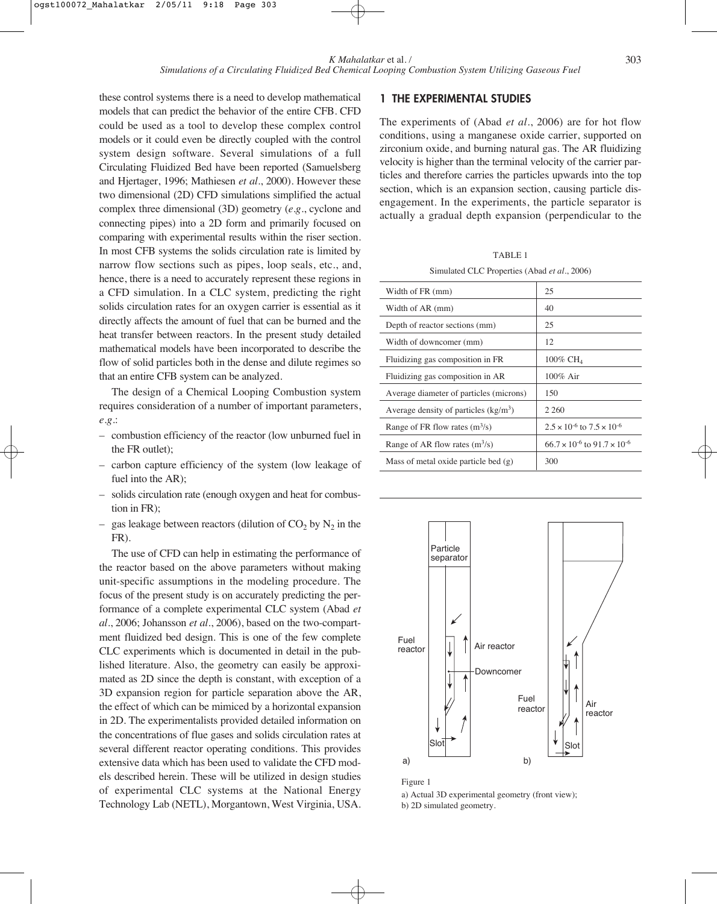these control systems there is a need to develop mathematical models that can predict the behavior of the entire CFB. CFD could be used as a tool to develop these complex control models or it could even be directly coupled with the control system design software. Several simulations of a full Circulating Fluidized Bed have been reported (Samuelsberg and Hjertager, 1996; Mathiesen *et al.*, 2000). However these two dimensional (2D) CFD simulations simplified the actual complex three dimensional (3D) geometry (*e.g.*, cyclone and connecting pipes) into a 2D form and primarily focused on comparing with experimental results within the riser section. In most CFB systems the solids circulation rate is limited by narrow flow sections such as pipes, loop seals, etc., and, hence, there is a need to accurately represent these regions in a CFD simulation. In a CLC system, predicting the right solids circulation rates for an oxygen carrier is essential as it directly affects the amount of fuel that can be burned and the heat transfer between reactors. In the present study detailed mathematical models have been incorporated to describe the flow of solid particles both in the dense and dilute regimes so that an entire CFB system can be analyzed.

The design of a Chemical Looping Combustion system requires consideration of a number of important parameters, *e.g.*:

- combustion efficiency of the reactor (low unburned fuel in the FR outlet);
- carbon capture efficiency of the system (low leakage of fuel into the AR);
- solids circulation rate (enough oxygen and heat for combustion in FR);
- gas leakage between reactors (dilution of  $CO<sub>2</sub>$  by N<sub>2</sub> in the FR).

The use of CFD can help in estimating the performance of the reactor based on the above parameters without making unit-specific assumptions in the modeling procedure. The focus of the present study is on accurately predicting the performance of a complete experimental CLC system (Abad *et al.*, 2006; Johansson *et al.*, 2006), based on the two-compartment fluidized bed design. This is one of the few complete CLC experiments which is documented in detail in the published literature. Also, the geometry can easily be approximated as 2D since the depth is constant, with exception of a 3D expansion region for particle separation above the AR, the effect of which can be mimiced by a horizontal expansion in 2D. The experimentalists provided detailed information on the concentrations of flue gases and solids circulation rates at several different reactor operating conditions. This provides extensive data which has been used to validate the CFD models described herein. These will be utilized in design studies of experimental CLC systems at the National Energy Technology Lab (NETL), Morgantown, West Virginia, USA.

## 1 THE EXPERIMENTAL STUDIES

The experiments of (Abad *et al.*, 2006) are for hot flow conditions, using a manganese oxide carrier, supported on zirconium oxide, and burning natural gas. The AR fluidizing velocity is higher than the terminal velocity of the carrier particles and therefore carries the particles upwards into the top section, which is an expansion section, causing particle disengagement. In the experiments, the particle separator is actually a gradual depth expansion (perpendicular to the

|  |  | TABLE <sub>1</sub> |  |  |  |  |
|--|--|--------------------|--|--|--|--|
|  |  |                    |  |  |  |  |

| Simulated CLC Properties (Abad et al., 2006) |  |  |  |
|----------------------------------------------|--|--|--|
|----------------------------------------------|--|--|--|

| Width of FR (mm)                        | 25                                             |
|-----------------------------------------|------------------------------------------------|
| Width of AR (mm)                        | 40                                             |
| Depth of reactor sections (mm)          | 25                                             |
| Width of downcomer (mm)                 | 12                                             |
| Fluidizing gas composition in FR        | $100\%$ CH <sub>4</sub>                        |
| Fluidizing gas composition in AR        | $100\%$ Air                                    |
| Average diameter of particles (microns) | 150                                            |
| Average density of particles $(kg/m3)$  | 2 2 6 0                                        |
| Range of FR flow rates $(m^3/s)$        | $2.5 \times 10^{-6}$ to $7.5 \times 10^{-6}$   |
| Range of AR flow rates $(m^3/s)$        | $66.7 \times 10^{-6}$ to $91.7 \times 10^{-6}$ |
| Mass of metal oxide particle bed $(g)$  | 300                                            |
|                                         |                                                |



Figure 1 a) Actual 3D experimental geometry (front view); b) 2D simulated geometry.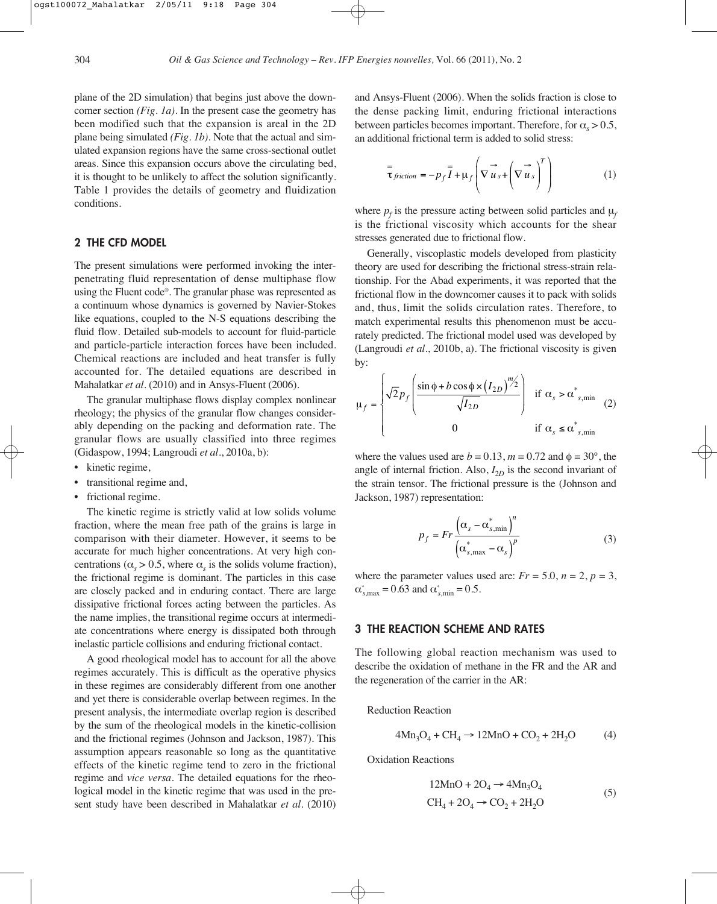plane of the 2D simulation) that begins just above the downcomer section *(Fig. 1a)*. In the present case the geometry has been modified such that the expansion is areal in the 2D plane being simulated *(Fig. 1b)*. Note that the actual and simulated expansion regions have the same cross-sectional outlet areas. Since this expansion occurs above the circulating bed, it is thought to be unlikely to affect the solution significantly. Table 1 provides the details of geometry and fluidization conditions.

## 2 THE CFD MODEL

The present simulations were performed invoking the interpenetrating fluid representation of dense multiphase flow using the Fluent code®. The granular phase was represented as a continuum whose dynamics is governed by Navier-Stokes like equations, coupled to the N-S equations describing the fluid flow. Detailed sub-models to account for fluid-particle and particle-particle interaction forces have been included. Chemical reactions are included and heat transfer is fully accounted for. The detailed equations are described in Mahalatkar *et al.* (2010) and in Ansys-Fluent (2006).

The granular multiphase flows display complex nonlinear rheology; the physics of the granular flow changes considerably depending on the packing and deformation rate. The granular flows are usually classified into three regimes (Gidaspow, 1994; Langroudi *et al.*, 2010a, b):

- kinetic regime,
- transitional regime and,
- frictional regime.

The kinetic regime is strictly valid at low solids volume fraction, where the mean free path of the grains is large in comparison with their diameter. However, it seems to be accurate for much higher concentrations. At very high concentrations ( $\alpha_s > 0.5$ , where  $\alpha_s$  is the solids volume fraction), the frictional regime is dominant. The particles in this case are closely packed and in enduring contact. There are large dissipative frictional forces acting between the particles. As the name implies, the transitional regime occurs at intermediate concentrations where energy is dissipated both through inelastic particle collisions and enduring frictional contact.

A good rheological model has to account for all the above regimes accurately. This is difficult as the operative physics in these regimes are considerably different from one another and yet there is considerable overlap between regimes. In the present analysis, the intermediate overlap region is described by the sum of the rheological models in the kinetic-collision and the frictional regimes (Johnson and Jackson, 1987). This assumption appears reasonable so long as the quantitative effects of the kinetic regime tend to zero in the frictional regime and *vice versa*. The detailed equations for the rheological model in the kinetic regime that was used in the present study have been described in Mahalatkar *et al.* (2010)

and Ansys-Fluent (2006). When the solids fraction is close to the dense packing limit, enduring frictional interactions between particles becomes important. Therefore, for  $\alpha_s > 0.5$ , an additional frictional term is added to solid stress:

$$
\overline{\tau}_{friction} = -p_f \overline{\overline{I}} + \mu_f \left( \overrightarrow{\nabla u}_s + \left( \overrightarrow{\nabla u}_s \right)^T \right)
$$
(1)

where  $p_f$  is the pressure acting between solid particles and  $\mu_f$ is the frictional viscosity which accounts for the shear stresses generated due to frictional flow.

Generally, viscoplastic models developed from plasticity theory are used for describing the frictional stress-strain relationship. For the Abad experiments, it was reported that the frictional flow in the downcomer causes it to pack with solids and, thus, limit the solids circulation rates. Therefore, to match experimental results this phenomenon must be accurately predicted. The frictional model used was developed by (Langroudi *et al.*, 2010b, a). The frictional viscosity is given by:

$$
\mu_f = \begin{cases}\n\sqrt{2}p_f \left( \frac{\sin \phi + b \cos \phi \times (I_{2D})^{m/2}}{\sqrt{I_{2D}}} \right) & \text{if } \alpha_s > \alpha^*_{s, \text{min}} \\
0 & \text{if } \alpha_s \le \alpha^*_{s, \text{min}}\n\end{cases} (2)
$$

where the values used are  $b = 0.13$ ,  $m = 0.72$  and  $\phi = 30^{\circ}$ , the angle of internal friction. Also,  $I_{2D}$  is the second invariant of the strain tensor. The frictional pressure is the (Johnson and Jackson, 1987) representation:

$$
p_f = Fr \frac{\left(\alpha_s - \alpha_{s,\min}^*\right)^n}{\left(\alpha_{s,\max}^* - \alpha_s\right)^p}
$$
 (3)

where the parameter values used are:  $Fr = 5.0$ ,  $n = 2$ ,  $p = 3$ ,  $\alpha_{s, \text{max}}^* = 0.63$  and  $\alpha_{s, \text{min}}^* = 0.5$ .

#### 3 THE REACTION SCHEME AND RATES

The following global reaction mechanism was used to describe the oxidation of methane in the FR and the AR and the regeneration of the carrier in the AR:

Reduction Reaction

$$
4Mn_3O_4 + CH_4 \to 12MnO + CO_2 + 2H_2O \tag{4}
$$

Oxidation Reactions

$$
12MnO + 2O_4 \to 4Mn_3O_4
$$
  
CH<sub>4</sub> + 2O<sub>4</sub>  $\to$  CO<sub>2</sub> + 2H<sub>2</sub>O (5)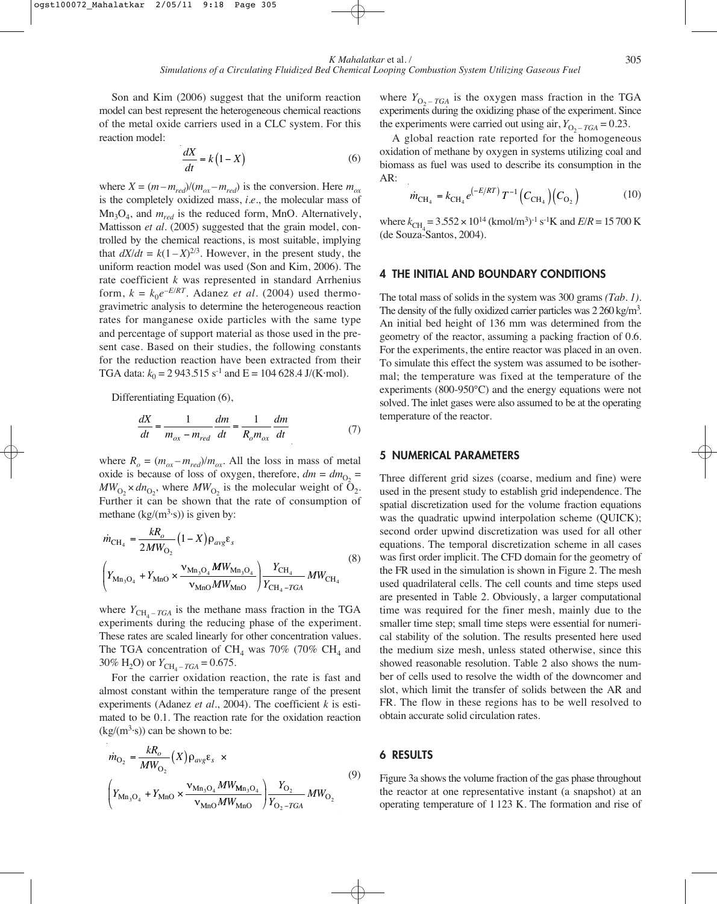Son and Kim (2006) suggest that the uniform reaction model can best represent the heterogeneous chemical reactions of the metal oxide carriers used in a CLC system. For this reaction model:

$$
\frac{dX}{dt} = k\left(1 - X\right) \tag{6}
$$

where  $X = (m - m_{red})/(m_{ox} - m_{red})$  is the conversion. Here  $m_{ox}$ is the completely oxidized mass, *i.e.*, the molecular mass of  $Mn<sub>3</sub>O<sub>4</sub>$ , and  $m<sub>red</sub>$  is the reduced form, MnO. Alternatively, Mattisson *et al.* (2005) suggested that the grain model, controlled by the chemical reactions, is most suitable, implying that  $dX/dt = k(1 - X)^{2/3}$ . However, in the present study, the uniform reaction model was used (Son and Kim, 2006). The rate coefficient *k* was represented in standard Arrhenius form,  $k = k_0 e^{-E/RT}$ . Adanez *et al.* (2004) used thermogravimetric analysis to determine the heterogeneous reaction rates for manganese oxide particles with the same type and percentage of support material as those used in the present case. Based on their studies, the following constants for the reduction reaction have been extracted from their TGA data:  $k_0 = 2943.515$  s<sup>-1</sup> and E = 104 628.4 J/(K⋅mol).

Differentiating Equation (6),

$$
\frac{dX}{dt} = \frac{1}{m_{ox} - m_{red}} \frac{dm}{dt} = \frac{1}{R_o m_{ox}} \frac{dm}{dt}
$$
(7)

where  $R_o = (m_{ox} - m_{red})/m_{ox}$ . All the loss in mass of metal oxide is because of loss of oxygen, therefore,  $dm = dm_{O<sub>2</sub>}$  $MW_{O_2} \times dn_{O_2}$ , where  $MW_{O_2}$  is the molecular weight of  $O_2$ . Further it can be shown that the rate of consumption of methane  $(kg/(m^3·s))$  is given by:

$$
\dot{m}_{\text{CH}_4} = \frac{kR_o}{2MW_{\text{O}_2}} (1 - X) \rho_{avg} \varepsilon_s
$$
\n
$$
\left(Y_{\text{Mn}_3\text{O}_4} + Y_{\text{MnO}} \times \frac{v_{\text{Mn}_3\text{O}_4} MW_{\text{Mn}_3\text{O}_4}}{v_{\text{MnO}} MW_{\text{MnO}}}\right) \frac{Y_{\text{CH}_4}}{Y_{\text{CH}_4 - TGA}} MW_{\text{CH}_4}
$$
\n(8)

where  $Y_{\text{CH}_4-TGA}$  is the methane mass fraction in the TGA experiments during the reducing phase of the experiment. These rates are scaled linearly for other concentration values. The TGA concentration of  $CH_4$  was 70% (70%  $CH_4$  and 30% H<sub>2</sub>O) or  $Y_{CH_4 - TGA} = 0.675$ .

For the carrier oxidation reaction, the rate is fast and almost constant within the temperature range of the present experiments (Adanez *et al.*, 2004). The coefficient *k* is estimated to be 0.1. The reaction rate for the oxidation reaction  $(kg/(m^3·s))$  can be shown to be:

$$
\dot{m}_{O_2} = \frac{kR_o}{MW_{O_2}} (X) \rho_{avg} \varepsilon_s \times
$$
\n
$$
\left(Y_{Mn_3O_4} + Y_{MnO} \times \frac{v_{Mn_3O_4} MW_{Mn_3O_4}}{v_{MnO} MW_{MnO}}\right) \frac{Y_{O_2}}{Y_{O_2 - TGA}} MW_{O_2}
$$
\n(9)

where  $Y_{\text{O}_2 - TGA}$  is the oxygen mass fraction in the TGA experiments during the oxidizing phase of the experiment. Since the experiments were carried out using air,  $Y_{O_2 - TGA} = 0.23$ .

A global reaction rate reported for the homogeneous oxidation of methane by oxygen in systems utilizing coal and biomass as fuel was used to describe its consumption in the AR:

$$
\dot{m}_{\text{CH}_4} = k_{\text{CH}_4} e^{(-E/RT)} T^{-1} \left( C_{\text{CH}_4} \right) \left( C_{\text{O}_2} \right) \tag{10}
$$

where  $k_{\text{CH}_4} = 3.552 \times 10^{14} \text{ (kmol/m}^3)^{-1} \text{ s}^{-1} \text{K}$  and  $E/R = 15700 \text{ K}$ (de Souza-Santos, 2004).

#### 4 THE INITIAL AND BOUNDARY CONDITIONS

The total mass of solids in the system was 300 grams *(Tab. 1)*. The density of the fully oxidized carrier particles was  $2\,260\,\mathrm{kg/m^3}$ . An initial bed height of 136 mm was determined from the geometry of the reactor, assuming a packing fraction of 0.6. For the experiments, the entire reactor was placed in an oven. To simulate this effect the system was assumed to be isothermal; the temperature was fixed at the temperature of the experiments (800-950°C) and the energy equations were not solved. The inlet gases were also assumed to be at the operating temperature of the reactor.

## 5 NUMERICAL PARAMETERS

Three different grid sizes (coarse, medium and fine) were used in the present study to establish grid independence. The spatial discretization used for the volume fraction equations was the quadratic upwind interpolation scheme (QUICK); second order upwind discretization was used for all other equations. The temporal discretization scheme in all cases was first order implicit. The CFD domain for the geometry of the FR used in the simulation is shown in Figure 2. The mesh used quadrilateral cells. The cell counts and time steps used are presented in Table 2. Obviously, a larger computational time was required for the finer mesh, mainly due to the smaller time step; small time steps were essential for numerical stability of the solution. The results presented here used the medium size mesh, unless stated otherwise, since this showed reasonable resolution. Table 2 also shows the number of cells used to resolve the width of the downcomer and slot, which limit the transfer of solids between the AR and FR. The flow in these regions has to be well resolved to obtain accurate solid circulation rates.

## 6 RESULTS

Figure 3a shows the volume fraction of the gas phase throughout the reactor at one representative instant (a snapshot) at an operating temperature of 1 123 K. The formation and rise of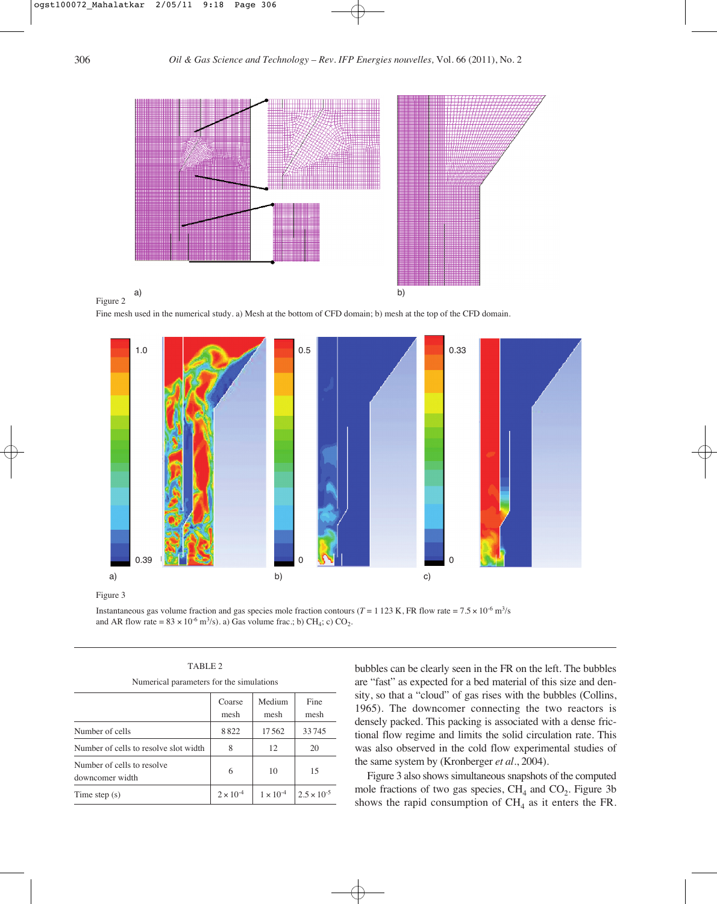







Figure 3

Instantaneous gas volume fraction and gas species mole fraction contours ( $T = 1123$  K, FR flow rate =  $7.5 \times 10^{-6}$  m<sup>3</sup>/s and AR flow rate =  $83 \times 10^{-6}$  m<sup>3</sup>/s). a) Gas volume frac.; b) CH<sub>4</sub>; c) CO<sub>2</sub>.

| TABLE 2                                  |  |  |
|------------------------------------------|--|--|
| Numerical parameters for the simulations |  |  |

|                                               | Coarse<br>mesh     | Medium<br>mesh     | Fine<br>mesh         |
|-----------------------------------------------|--------------------|--------------------|----------------------|
| Number of cells                               | 8822               | 17562              | 33745                |
| Number of cells to resolve slot width         | 8                  | 12                 | 20                   |
| Number of cells to resolve<br>downcomer width | 6                  | 10                 | 15                   |
| Time step $(s)$                               | $2 \times 10^{-4}$ | $1 \times 10^{-4}$ | $2.5 \times 10^{-5}$ |

bubbles can be clearly seen in the FR on the left. The bubbles are "fast" as expected for a bed material of this size and density, so that a "cloud" of gas rises with the bubbles (Collins, 1965). The downcomer connecting the two reactors is densely packed. This packing is associated with a dense frictional flow regime and limits the solid circulation rate. This was also observed in the cold flow experimental studies of the same system by (Kronberger *et al.*, 2004).

Figure 3 also shows simultaneous snapshots of the computed mole fractions of two gas species,  $CH<sub>4</sub>$  and  $CO<sub>2</sub>$ . Figure 3b shows the rapid consumption of  $CH<sub>4</sub>$  as it enters the FR.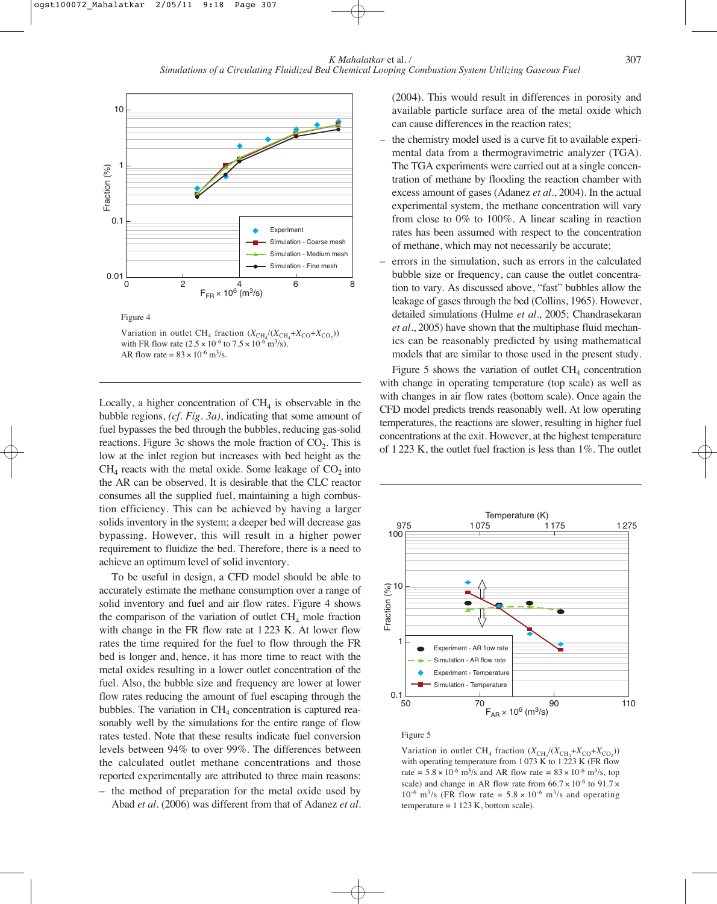

Variation in outlet CH<sub>4</sub> fraction  $(X_{CH_4}/(X_{CH_4}+X_{CO}+X_{CO_2}))$ with FR flow rate  $(2.5 \times 10^{-6} \text{ to } 7.5 \times 10^{-6} \text{ m}^3/\text{s})$ . AR flow rate =  $83 \times 10^{-6}$  m<sup>3</sup>/s.

Locally, a higher concentration of  $CH<sub>4</sub>$  is observable in the bubble regions, *(cf. Fig. 3a)*, indicating that some amount of fuel bypasses the bed through the bubbles, reducing gas-solid reactions. Figure 3c shows the mole fraction of  $CO<sub>2</sub>$ . This is low at the inlet region but increases with bed height as the  $CH<sub>4</sub>$  reacts with the metal oxide. Some leakage of  $CO<sub>2</sub>$  into the AR can be observed. It is desirable that the CLC reactor consumes all the supplied fuel, maintaining a high combustion efficiency. This can be achieved by having a larger solids inventory in the system; a deeper bed will decrease gas bypassing. However, this will result in a higher power requirement to fluidize the bed. Therefore, there is a need to achieve an optimum level of solid inventory.

To be useful in design, a CFD model should be able to accurately estimate the methane consumption over a range of solid inventory and fuel and air flow rates. Figure 4 shows the comparison of the variation of outlet  $CH<sub>4</sub>$  mole fraction with change in the FR flow rate at 1223 K. At lower flow rates the time required for the fuel to flow through the FR bed is longer and, hence, it has more time to react with the metal oxides resulting in a lower outlet concentration of the fuel. Also, the bubble size and frequency are lower at lower flow rates reducing the amount of fuel escaping through the bubbles. The variation in  $CH<sub>4</sub>$  concentration is captured reasonably well by the simulations for the entire range of flow rates tested. Note that these results indicate fuel conversion levels between 94% to over 99%. The differences between the calculated outlet methane concentrations and those reported experimentally are attributed to three main reasons:

– the method of preparation for the metal oxide used by Abad *et al.* (2006) was different from that of Adanez *et al.* (2004). This would result in differences in porosity and available particle surface area of the metal oxide which can cause differences in the reaction rates;

- the chemistry model used is a curve fit to available experimental data from a thermogravimetric analyzer (TGA). The TGA experiments were carried out at a single concentration of methane by flooding the reaction chamber with excess amount of gases (Adanez *et al.*, 2004). In the actual experimental system, the methane concentration will vary from close to 0% to 100%. A linear scaling in reaction rates has been assumed with respect to the concentration of methane, which may not necessarily be accurate;
- errors in the simulation, such as errors in the calculated bubble size or frequency, can cause the outlet concentration to vary. As discussed above, "fast" bubbles allow the leakage of gases through the bed (Collins, 1965). However, detailed simulations (Hulme *et al.*, 2005; Chandrasekaran *et al.*, 2005) have shown that the multiphase fluid mechanics can be reasonably predicted by using mathematical models that are similar to those used in the present study.

Figure 5 shows the variation of outlet  $\text{CH}_4$  concentration with change in operating temperature (top scale) as well as with changes in air flow rates (bottom scale). Once again the CFD model predicts trends reasonably well. At low operating temperatures, the reactions are slower, resulting in higher fuel concentrations at the exit. However, at the highest temperature of 1 223 K, the outlet fuel fraction is less than 1%. The outlet



#### Figure 5

Variation in outlet CH<sub>4</sub> fraction  $(X_{\text{CH}_4}/(X_{\text{CH}_4}+X_{\text{CO}}+X_{\text{CO}_2}))$ with operating temperature from 1 073 K to 1 223 K (FR flow rate =  $5.8 \times 10^{-6}$  m<sup>3</sup>/s and AR flow rate =  $83 \times 10^{-6}$  m<sup>3</sup>/s, top scale) and change in AR flow rate from  $66.7 \times 10^{-6}$  to  $91.7 \times$  $10^{-6}$  m<sup>3</sup>/s (FR flow rate =  $5.8 \times 10^{-6}$  m<sup>3</sup>/s and operating temperature = 1 123 K, bottom scale).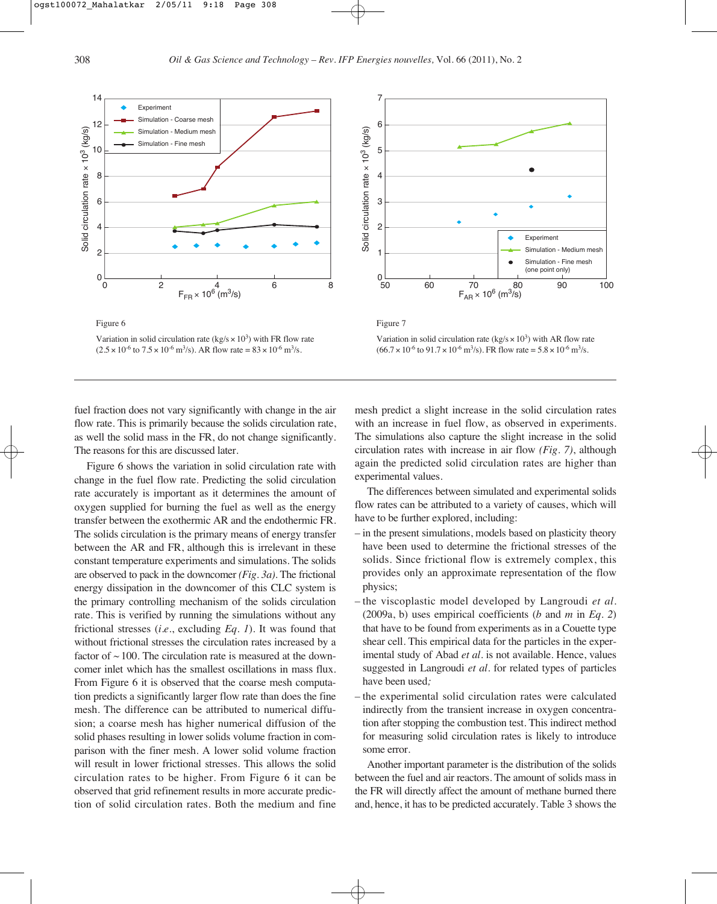

Variation in solid circulation rate (kg/s  $\times$  10<sup>3</sup>) with FR flow rate  $(2.5 \times 10^{-6} \text{ to } 7.5 \times 10^{-6} \text{ m}^3/\text{s})$ . AR flow rate =  $83 \times 10^{-6} \text{ m}^3/\text{s}$ .



Figure 6 shows the variation in solid circulation rate with change in the fuel flow rate. Predicting the solid circulation rate accurately is important as it determines the amount of oxygen supplied for burning the fuel as well as the energy transfer between the exothermic AR and the endothermic FR. The solids circulation is the primary means of energy transfer between the AR and FR, although this is irrelevant in these constant temperature experiments and simulations. The solids are observed to pack in the downcomer *(Fig. 3a)*. The frictional energy dissipation in the downcomer of this CLC system is the primary controlling mechanism of the solids circulation rate. This is verified by running the simulations without any frictional stresses (*i.e.*, excluding *Eq. 1*). It was found that without frictional stresses the circulation rates increased by a factor of  $\sim$  100. The circulation rate is measured at the downcomer inlet which has the smallest oscillations in mass flux. From Figure 6 it is observed that the coarse mesh computation predicts a significantly larger flow rate than does the fine mesh. The difference can be attributed to numerical diffusion; a coarse mesh has higher numerical diffusion of the solid phases resulting in lower solids volume fraction in comparison with the finer mesh. A lower solid volume fraction will result in lower frictional stresses. This allows the solid circulation rates to be higher. From Figure 6 it can be observed that grid refinement results in more accurate prediction of solid circulation rates. Both the medium and fine





Variation in solid circulation rate (kg/s  $\times$  10<sup>3</sup>) with AR flow rate  $(66.7 \times 10^{-6} \text{ to } 91.7 \times 10^{-6} \text{ m}^3/\text{s})$ . FR flow rate =  $5.8 \times 10^{-6} \text{ m}^3/\text{s}$ .

mesh predict a slight increase in the solid circulation rates with an increase in fuel flow, as observed in experiments. The simulations also capture the slight increase in the solid circulation rates with increase in air flow *(Fig. 7)*, although again the predicted solid circulation rates are higher than experimental values.

The differences between simulated and experimental solids flow rates can be attributed to a variety of causes, which will have to be further explored, including:

- in the present simulations, models based on plasticity theory have been used to determine the frictional stresses of the solids. Since frictional flow is extremely complex, this provides only an approximate representation of the flow physics;
- the viscoplastic model developed by Langroudi *et al.* (2009a, b) uses empirical coefficients (*b* and *m* in *Eq. 2*) that have to be found from experiments as in a Couette type shear cell. This empirical data for the particles in the experimental study of Abad *et al.* is not available. Hence, values suggested in Langroudi *et al.* for related types of particles have been used*;*
- the experimental solid circulation rates were calculated indirectly from the transient increase in oxygen concentration after stopping the combustion test. This indirect method for measuring solid circulation rates is likely to introduce some error.

Another important parameter is the distribution of the solids between the fuel and air reactors. The amount of solids mass in the FR will directly affect the amount of methane burned there and, hence, it has to be predicted accurately. Table 3 shows the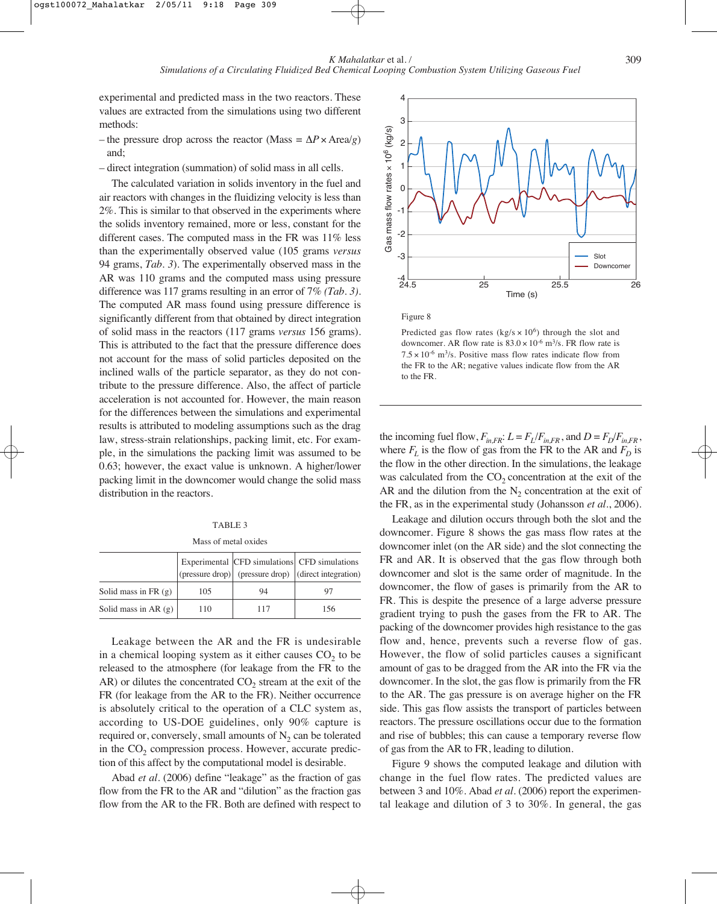experimental and predicted mass in the two reactors. These values are extracted from the simulations using two different methods:

- the pressure drop across the reactor (Mass =  $\Delta P \times \text{Area/g}$ ) and;
- direct integration (summation) of solid mass in all cells.

The calculated variation in solids inventory in the fuel and air reactors with changes in the fluidizing velocity is less than 2%. This is similar to that observed in the experiments where the solids inventory remained, more or less, constant for the different cases. The computed mass in the FR was 11% less than the experimentally observed value (105 grams *versus* 94 grams, *Tab. 3*). The experimentally observed mass in the AR was 110 grams and the computed mass using pressure difference was 117 grams resulting in an error of 7% *(Tab. 3)*. The computed AR mass found using pressure difference is significantly different from that obtained by direct integration of solid mass in the reactors (117 grams *versus* 156 grams). This is attributed to the fact that the pressure difference does not account for the mass of solid particles deposited on the inclined walls of the particle separator, as they do not contribute to the pressure difference. Also, the affect of particle acceleration is not accounted for. However, the main reason for the differences between the simulations and experimental results is attributed to modeling assumptions such as the drag law, stress-strain relationships, packing limit, etc. For example, in the simulations the packing limit was assumed to be 0.63; however, the exact value is unknown. A higher/lower packing limit in the downcomer would change the solid mass distribution in the reactors.

TABLE 3

Mass of metal oxides

|                        |     |     | Experimental CFD simulations CFD simulations<br>$(\text{pressure drop})$ (pressure drop) (direct integration) |  |
|------------------------|-----|-----|---------------------------------------------------------------------------------------------------------------|--|
| Solid mass in FR $(g)$ | 105 | 94  | 97                                                                                                            |  |
| Solid mass in AR $(g)$ | 110 | 117 | 156                                                                                                           |  |

Leakage between the AR and the FR is undesirable in a chemical looping system as it either causes  $CO<sub>2</sub>$  to be released to the atmosphere (for leakage from the FR to the AR) or dilutes the concentrated  $CO<sub>2</sub>$  stream at the exit of the FR (for leakage from the AR to the FR). Neither occurrence is absolutely critical to the operation of a CLC system as, according to US-DOE guidelines, only 90% capture is required or, conversely, small amounts of  $N<sub>2</sub>$  can be tolerated in the  $CO<sub>2</sub>$  compression process. However, accurate prediction of this affect by the computational model is desirable.

Abad *et al*. (2006) define "leakage" as the fraction of gas flow from the FR to the AR and "dilution" as the fraction gas flow from the AR to the FR. Both are defined with respect to





Predicted gas flow rates (kg/s  $\times$  10<sup>6</sup>) through the slot and downcomer. AR flow rate is  $83.0 \times 10^{-6}$  m<sup>3</sup>/s. FR flow rate is  $7.5 \times 10^{-6}$  m<sup>3</sup>/s. Positive mass flow rates indicate flow from the FR to the AR; negative values indicate flow from the AR to the FR.

the incoming fuel flow,  $F_{in,FR}$ :  $L = F_L/F_{in,FR}$ , and  $D = F_D/F_{in,FR}$ , where  $F_L$  is the flow of gas from the FR to the AR and  $F_D$  is the flow in the other direction. In the simulations, the leakage was calculated from the  $CO<sub>2</sub>$  concentration at the exit of the AR and the dilution from the  $N_2$  concentration at the exit of the FR, as in the experimental study (Johansson *et al*., 2006).

Leakage and dilution occurs through both the slot and the downcomer. Figure 8 shows the gas mass flow rates at the downcomer inlet (on the AR side) and the slot connecting the FR and AR. It is observed that the gas flow through both downcomer and slot is the same order of magnitude. In the downcomer, the flow of gases is primarily from the AR to FR. This is despite the presence of a large adverse pressure gradient trying to push the gases from the FR to AR. The packing of the downcomer provides high resistance to the gas flow and, hence, prevents such a reverse flow of gas. However, the flow of solid particles causes a significant amount of gas to be dragged from the AR into the FR via the downcomer. In the slot, the gas flow is primarily from the FR to the AR. The gas pressure is on average higher on the FR side. This gas flow assists the transport of particles between reactors. The pressure oscillations occur due to the formation and rise of bubbles; this can cause a temporary reverse flow of gas from the AR to FR, leading to dilution.

Figure 9 shows the computed leakage and dilution with change in the fuel flow rates. The predicted values are between 3 and 10%. Abad *et al*. (2006) report the experimental leakage and dilution of 3 to 30%. In general, the gas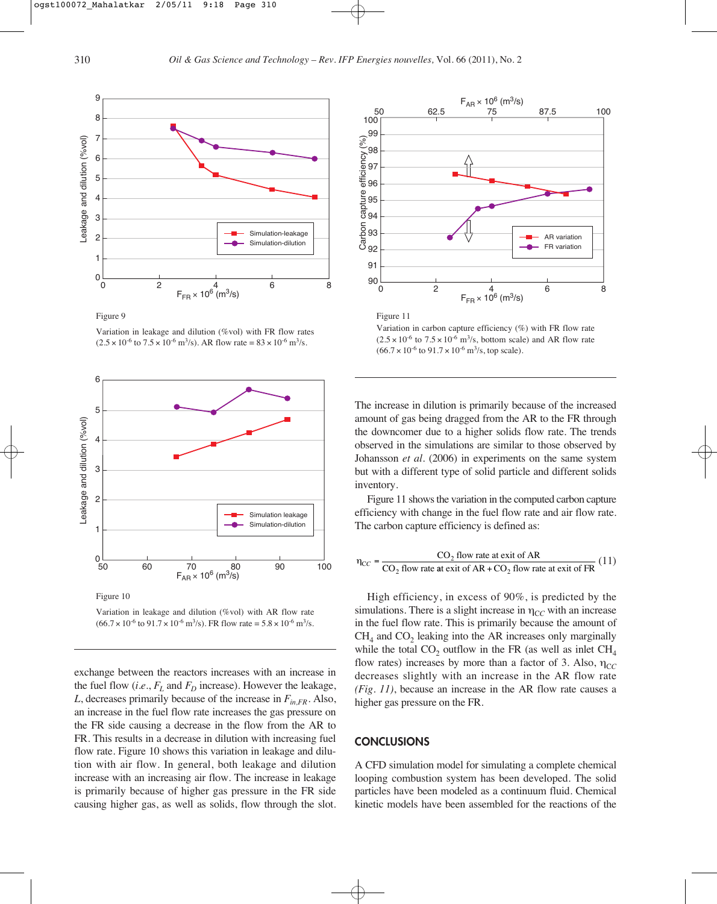

Figure 9

Variation in leakage and dilution (%vol) with FR flow rates  $(2.5 \times 10^{-6} \text{ to } 7.5 \times 10^{-6} \text{ m}^3/\text{s})$ . AR flow rate =  $83 \times 10^{-6} \text{ m}^3/\text{s}$ .



Variation in leakage and dilution (%vol) with AR flow rate  $(66.7 \times 10^{-6} \text{ to } 91.7 \times 10^{-6} \text{ m}^3/\text{s})$ . FR flow rate =  $5.8 \times 10^{-6} \text{ m}^3/\text{s}$ .

exchange between the reactors increases with an increase in the fuel flow  $(i.e., F_L$  and  $F_D$  increase). However the leakage, *L*, decreases primarily because of the increase in  $F_{inFR}$ . Also, an increase in the fuel flow rate increases the gas pressure on the FR side causing a decrease in the flow from the AR to FR. This results in a decrease in dilution with increasing fuel flow rate. Figure 10 shows this variation in leakage and dilution with air flow. In general, both leakage and dilution increase with an increasing air flow. The increase in leakage is primarily because of higher gas pressure in the FR side causing higher gas, as well as solids, flow through the slot.



Variation in carbon capture efficiency (%) with FR flow rate  $(2.5 \times 10^{-6}$  to  $7.5 \times 10^{-6}$  m<sup>3</sup>/s, bottom scale) and AR flow rate  $(66.7 \times 10^{-6} \text{ to } 91.7 \times 10^{-6} \text{ m}^3/\text{s}, \text{top scale}).$ 

The increase in dilution is primarily because of the increased amount of gas being dragged from the AR to the FR through the downcomer due to a higher solids flow rate. The trends observed in the simulations are similar to those observed by Johansson *et al*. (2006) in experiments on the same system but with a different type of solid particle and different solids inventory.

Figure 11 shows the variation in the computed carbon capture efficiency with change in the fuel flow rate and air flow rate. The carbon capture efficiency is defined as:

$$
\eta_{CC} = \frac{CO_2 \text{ flow rate at exit of AR}}{CO_2 \text{ flow rate at exit of AR} + CO_2 \text{ flow rate at exit of FR}} (11)
$$

High efficiency, in excess of 90%, is predicted by the simulations. There is a slight increase in  $\eta_{CC}$  with an increase in the fuel flow rate. This is primarily because the amount of  $CH<sub>4</sub>$  and  $CO<sub>2</sub>$  leaking into the AR increases only marginally while the total  $CO<sub>2</sub>$  outflow in the FR (as well as inlet  $CH<sub>4</sub>$ flow rates) increases by more than a factor of 3. Also,  $\eta_{CC}$ decreases slightly with an increase in the AR flow rate *(Fig. 11)*, because an increase in the AR flow rate causes a higher gas pressure on the FR.

## **CONCLUSIONS**

A CFD simulation model for simulating a complete chemical looping combustion system has been developed. The solid particles have been modeled as a continuum fluid. Chemical kinetic models have been assembled for the reactions of the